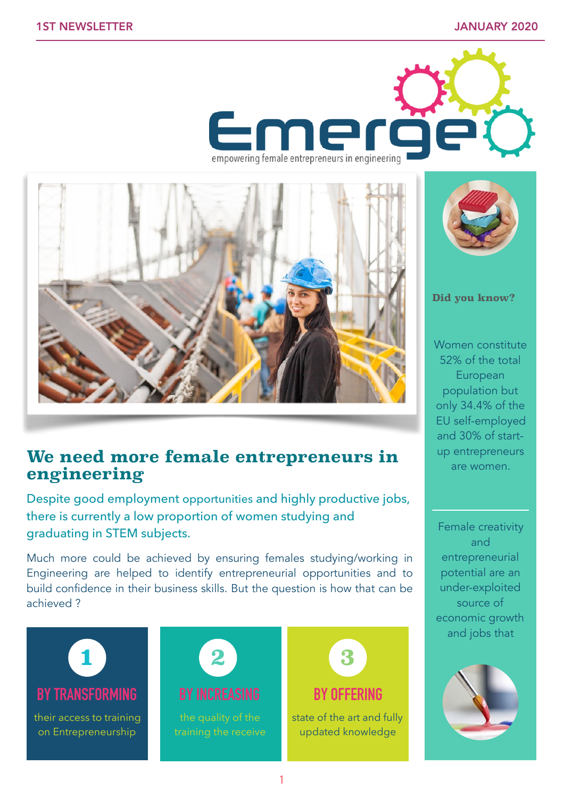



## **We need more female entrepreneurs in engineering**

Despite good employment opportunities and highly productive jobs, there is currently a low proportion of women studying and graduating in STEM subjects.

Much more could be achieved by ensuring females studying/working in Engineering are helped to identify entrepreneurial opportunities and to build confidence in their business skills. But the question is how that can be achieved ?



their access to training on Entrepreneurship





state of the art and fully updated knowledge



**Did you know?** 

Women constitute 52% of the total European population but only 34.4% of the EU self-employed and 30% of startup entrepreneurs are women.

Female creativity and entrepreneurial potential are an under-exploited source of economic growth and jobs that

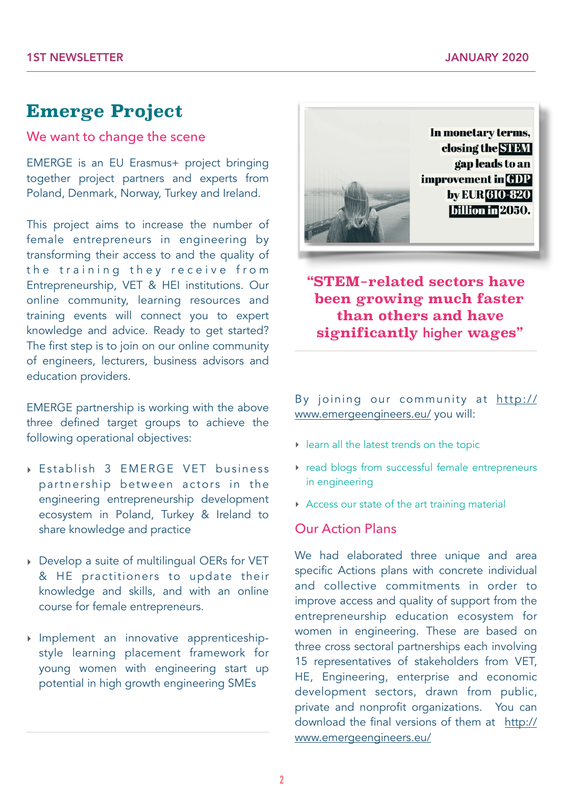# **Emerge Project**

#### We want to change the scene

EMERGE is an EU Erasmus+ project bringing together project partners and experts from Poland, Denmark, Norway, Turkey and Ireland.

This project aims to increase the number of female entrepreneurs in engineering by transforming their access to and the quality of the training they receive from Entrepreneurship, VET & HEI institutions. Our online community, learning resources and training events will connect you to expert knowledge and advice. Ready to get started? The first step is to join on our online community of engineers, lecturers, business advisors and education providers.

EMERGE partnership is working with the above three defined target groups to achieve the following operational objectives:

- ‣ Establish 3 EMERGE VET business partnership between actors in the engineering entrepreneurship development ecosystem in Poland, Turkey & Ireland to share knowledge and practice
- ‣ Develop a suite of multilingual OERs for VET & HE practitioners to update their knowledge and skills, and with an online course for female entrepreneurs.
- ‣ Implement an innovative apprenticeshipstyle learning placement framework for young women with engineering start up potential in high growth engineering SMEs



**"STEM-related sectors have been growing much faster than others and have significantly** higher **wages"** 

By joining our community at [http://](http://www.emergeengineers.eu/) [www.emergeengineers.eu/](http://www.emergeengineers.eu/) you will:

- ‣ learn all the latest trends on the topic
- ‣ read blogs from successful female entrepreneurs in engineering
- ‣ Access our state of the art training material

#### Our Action Plans

We had elaborated three unique and area specific Actions plans with concrete individual and collective commitments in order to improve access and quality of support from the entrepreneurship education ecosystem for women in engineering. These are based on three cross sectoral partnerships each involving 15 representatives of stakeholders from VET, HE, Engineering, enterprise and economic development sectors, drawn from public, private and nonprofit organizations. You can download the final versions of them at [http://](http://www.emergeengineers.eu/) [www.emergeengineers.eu/](http://www.emergeengineers.eu/)